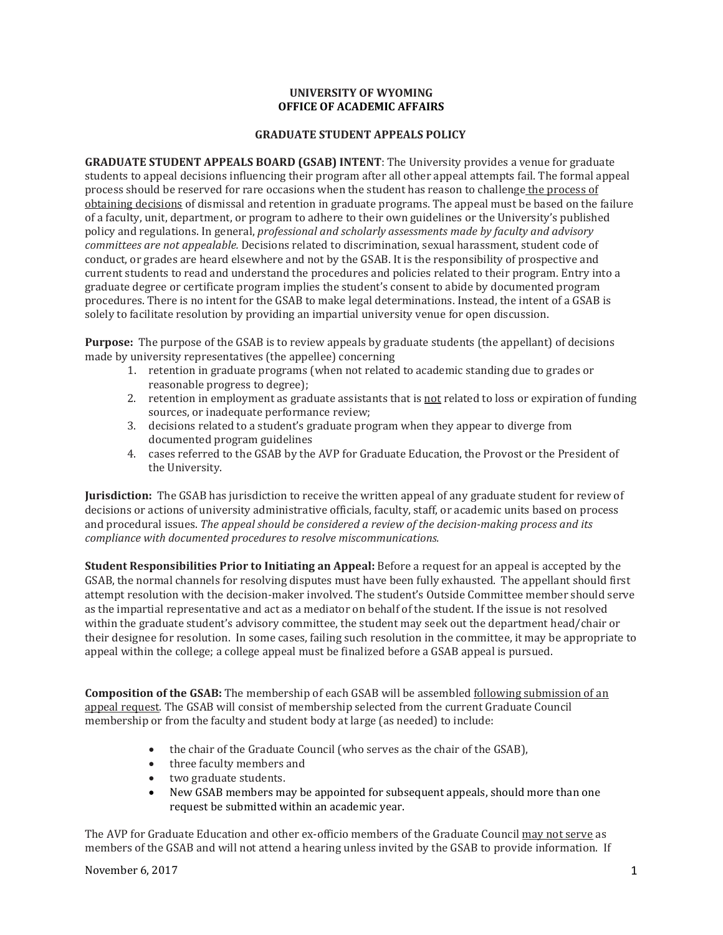## **UNIVERSITY OF WYOMING OFFICE OF ACADEMIC AFFAIRS**

## **GRADUATE STUDENT APPEALS POLICY**

**GRADUATE STUDENT APPEALS BOARD (GSAB) INTENT**: The University provides a venue for graduate students to appeal decisions influencing their program after all other appeal attempts fail. The formal appeal process should be reserved for rare occasions when the student has reason to challenge the process of obtaining decisions of dismissal and retention in graduate programs. The appeal must be based on the failure of a faculty, unit, department, or program to adhere to their own guidelines or the University's published policy and regulations. In general, *professional and scholarly assessments made by faculty and advisory committees are not appealable.* Decisions related to discrimination, sexual harassment, student code of conduct, or grades are heard elsewhere and not by the GSAB. It is the responsibility of prospective and current students to read and understand the procedures and policies related to their program. Entry into a graduate degree or certificate program implies the student's consent to abide by documented program procedures. There is no intent for the GSAB to make legal determinations. Instead, the intent of a GSAB is solely to facilitate resolution by providing an impartial university venue for open discussion.

**Purpose:** The purpose of the GSAB is to review appeals by graduate students (the appellant) of decisions made by university representatives (the appellee) concerning

- 1. retention in graduate programs (when not related to academic standing due to grades or reasonable progress to degree);
- 2. retention in employment as graduate assistants that is not related to loss or expiration of funding sources, or inadequate performance review;
- 3. decisions related to a student's graduate program when they appear to diverge from documented program guidelines
- 4. cases referred to the GSAB by the AVP for Graduate Education, the Provost or the President of the University.

**Jurisdiction:** The GSAB has jurisdiction to receive the written appeal of any graduate student for review of decisions or actions of university administrative officials, faculty, staff, or academic units based on process and procedural issues. *The appeal should be considered a review of the decision-making process and its compliance with documented procedures to resolve miscommunications.*

**Student Responsibilities Prior to Initiating an Appeal:** Before a request for an appeal is accepted by the GSAB, the normal channels for resolving disputes must have been fully exhausted. The appellant should first attempt resolution with the decision-maker involved. The student's Outside Committee member should serve as the impartial representative and act as a mediator on behalf of the student. If the issue is not resolved within the graduate student's advisory committee, the student may seek out the department head/chair or their designee for resolution. In some cases, failing such resolution in the committee, it may be appropriate to appeal within the college; a college appeal must be finalized before a GSAB appeal is pursued.

**Composition of the GSAB:** The membership of each GSAB will be assembled following submission of an appeal request. The GSAB will consist of membership selected from the current Graduate Council membership or from the faculty and student body at large (as needed) to include:

- the chair of the Graduate Council (who serves as the chair of the GSAB),
- three faculty members and
- two graduate students.<br>• New GSAB members ma
- New GSAB members may be appointed for subsequent appeals, should more than one request be submitted within an academic year.

The AVP for Graduate Education and other ex-officio members of the Graduate Council may not serve as members of the GSAB and will not attend a hearing unless invited by the GSAB to provide information. If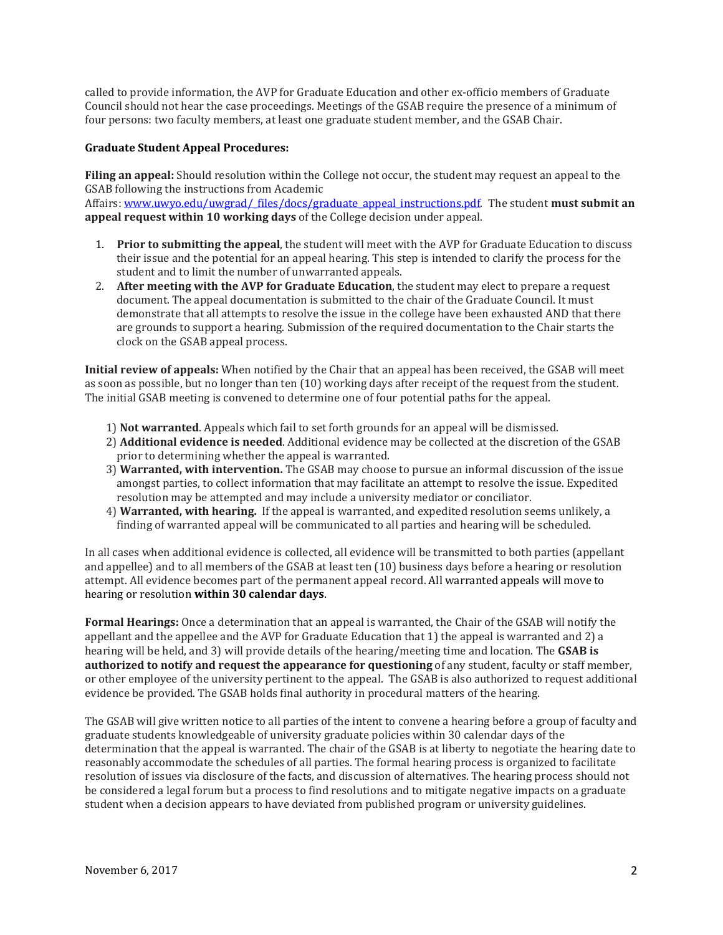called to provide information, the AVP for Graduate Education and other ex-officio members of Graduate Council should not hear the case proceedings. Meetings of the GSAB require the presence of a minimum of four persons: two faculty members, at least one graduate student member, and the GSAB Chair.

## **Graduate Student Appeal Procedures:**

**Filing an appeal:** Should resolution within the College not occur, the student may request an appeal to the GSAB following the instructions from Academic

Affairs: [www.uwyo.edu/uwgrad/\\_files/docs/graduate\\_appeal\\_instructions.pdf.](http://www.uwyo.edu/uwgrad/_files/docs/graduate_appeal_instructions.pdf) The student **must submit an appeal request within 10 working days** of the College decision under appeal.

- 1. **Prior to submitting the appeal**, the student will meet with the AVP for Graduate Education to discuss their issue and the potential for an appeal hearing. This step is intended to clarify the process for the student and to limit the number of unwarranted appeals.
- 2. **After meeting with the AVP for Graduate Education**, the student may elect to prepare a request document. The appeal documentation is submitted to the chair of the Graduate Council. It must demonstrate that all attempts to resolve the issue in the college have been exhausted AND that there are grounds to support a hearing. Submission of the required documentation to the Chair starts the clock on the GSAB appeal process.

**Initial review of appeals:** When notified by the Chair that an appeal has been received, the GSAB will meet as soon as possible, but no longer than ten (10) working days after receipt of the request from the student. The initial GSAB meeting is convened to determine one of four potential paths for the appeal.

- 1) **Not warranted**. Appeals which fail to set forth grounds for an appeal will be dismissed.
- 2) **Additional evidence is needed**. Additional evidence may be collected at the discretion of the GSAB prior to determining whether the appeal is warranted.
- 3) **Warranted, with intervention.** The GSAB may choose to pursue an informal discussion of the issue amongst parties, to collect information that may facilitate an attempt to resolve the issue. Expedited resolution may be attempted and may include a university mediator or conciliator.
- 4) **Warranted, with hearing.** If the appeal is warranted, and expedited resolution seems unlikely, a finding of warranted appeal will be communicated to all parties and hearing will be scheduled.

In all cases when additional evidence is collected, all evidence will be transmitted to both parties (appellant and appellee) and to all members of the GSAB at least ten (10) business days before a hearing or resolution attempt. All evidence becomes part of the permanent appeal record. All warranted appeals will move to hearing or resolution **within 30 calendar days**.

**Formal Hearings:** Once a determination that an appeal is warranted, the Chair of the GSAB will notify the appellant and the appellee and the AVP for Graduate Education that 1) the appeal is warranted and 2) a hearing will be held, and 3) will provide details of the hearing/meeting time and location. The **GSAB is authorized to notify and request the appearance for questioning** of any student, faculty or staff member, or other employee of the university pertinent to the appeal. The GSAB is also authorized to request additional evidence be provided. The GSAB holds final authority in procedural matters of the hearing.

The GSAB will give written notice to all parties of the intent to convene a hearing before a group of faculty and graduate students knowledgeable of university graduate policies within 30 calendar days of the determination that the appeal is warranted. The chair of the GSAB is at liberty to negotiate the hearing date to reasonably accommodate the schedules of all parties. The formal hearing process is organized to facilitate resolution of issues via disclosure of the facts, and discussion of alternatives. The hearing process should not be considered a legal forum but a process to find resolutions and to mitigate negative impacts on a graduate student when a decision appears to have deviated from published program or university guidelines.